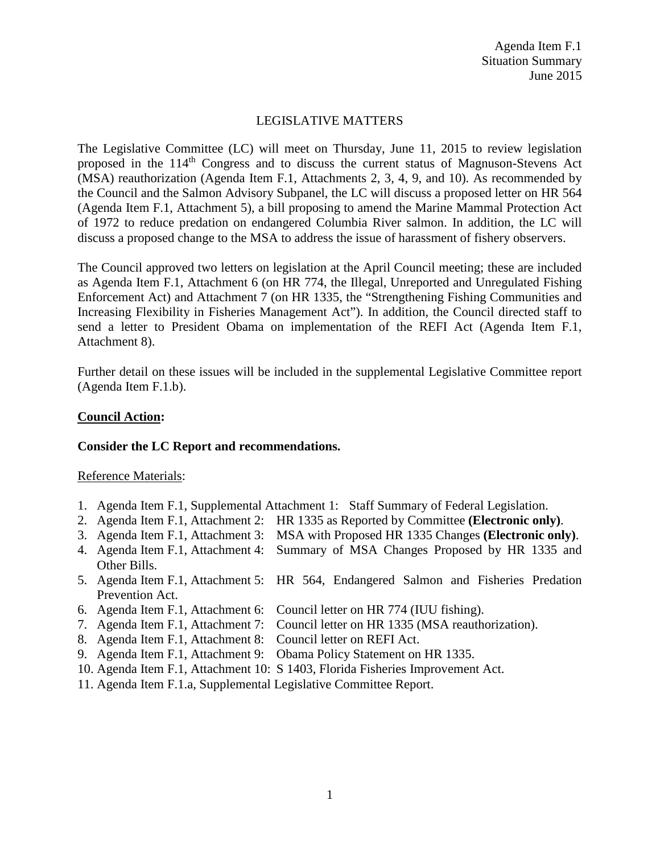## LEGISLATIVE MATTERS

The Legislative Committee (LC) will meet on Thursday, June 11, 2015 to review legislation proposed in the 114th Congress and to discuss the current status of Magnuson-Stevens Act (MSA) reauthorization (Agenda Item F.1, Attachments 2, 3, 4, 9, and 10). As recommended by the Council and the Salmon Advisory Subpanel, the LC will discuss a proposed letter on HR 564 (Agenda Item F.1, Attachment 5), a bill proposing to amend the Marine Mammal Protection Act of 1972 to reduce predation on endangered Columbia River salmon. In addition, the LC will discuss a proposed change to the MSA to address the issue of harassment of fishery observers.

The Council approved two letters on legislation at the April Council meeting; these are included as Agenda Item F.1, Attachment 6 (on HR 774, the Illegal, Unreported and Unregulated Fishing Enforcement Act) and Attachment 7 (on HR 1335, the "Strengthening Fishing Communities and Increasing Flexibility in Fisheries Management Act"). In addition, the Council directed staff to send a letter to President Obama on implementation of the REFI Act (Agenda Item F.1, Attachment 8).

Further detail on these issues will be included in the supplemental Legislative Committee report (Agenda Item F.1.b).

### **Council Action:**

### **Consider the LC Report and recommendations.**

#### Reference Materials:

- 1. Agenda Item F.1, Supplemental Attachment 1: Staff Summary of Federal Legislation.
- 2. Agenda Item F.1, Attachment 2: HR 1335 as Reported by Committee **(Electronic only)**.
- 3. Agenda Item F.1, Attachment 3: MSA with Proposed HR 1335 Changes **(Electronic only)**.
- 4. Agenda Item F.1, Attachment 4: Summary of MSA Changes Proposed by HR 1335 and Other Bills.
- 5. Agenda Item F.1, Attachment 5: HR 564, Endangered Salmon and Fisheries Predation Prevention Act.
- 6. Agenda Item F.1, Attachment 6: Council letter on HR 774 (IUU fishing).
- 7. Agenda Item F.1, Attachment 7: Council letter on HR 1335 (MSA reauthorization).
- 8. Agenda Item F.1, Attachment 8: Council letter on REFI Act.
- 9. Agenda Item F.1, Attachment 9: Obama Policy Statement on HR 1335.
- 10. Agenda Item F.1, Attachment 10: S 1403, Florida Fisheries Improvement Act.
- 11. Agenda Item F.1.a, Supplemental Legislative Committee Report.